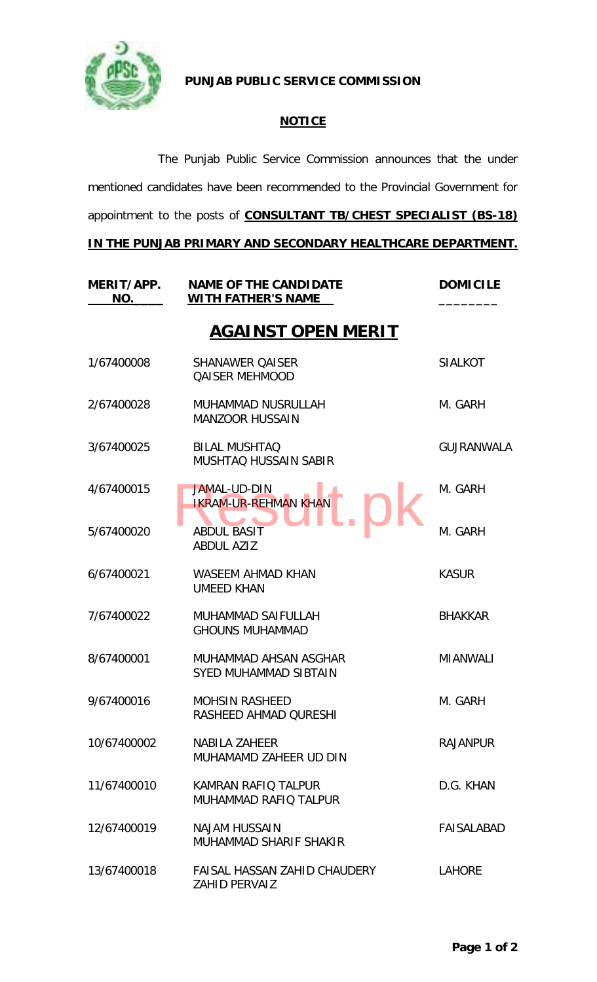

**PUNJAB PUBLIC SERVICE COMMISSION**

## **NOTICE**

The Punjab Public Service Commission announces that the under mentioned candidates have been recommended to the Provincial Government for appointment to the posts of **CONSULTANT TB/CHEST SPECIALIST (BS-18)** 

## **IN THE PUNJAB PRIMARY AND SECONDARY HEALTHCARE DEPARTMENT.**

| MERIT/APP.<br>NO. | <b>NAME OF THE CANDIDATE</b><br><b>WITH FATHER'S NAME</b> | <b>DOMICILE</b>   |
|-------------------|-----------------------------------------------------------|-------------------|
|                   | <b>AGAINST OPEN MERIT</b>                                 |                   |
| 1/67400008        | <b>SHANAWER QAISER</b><br><b>QAISER MEHMOOD</b>           | <b>SIALKOT</b>    |
| 2/67400028        | MUHAMMAD NUSRULLAH<br><b>MANZOOR HUSSAIN</b>              | M. GARH           |
| 3/67400025        | <b>BILAL MUSHTAQ</b><br><b>MUSHTAQ HUSSAIN SABIR</b>      | <b>GUJRANWALA</b> |
| 4/67400015        | <b>JAMAL-UD-DIN</b><br><b>IKRAM-UR-REHMAN KHAN</b>        | M. GARH           |
| 5/67400020        | <b>ABDUL BASIT</b><br><b>ABDUL AZIZ</b>                   | M. GARH           |
| 6/67400021        | <b>WASEEM AHMAD KHAN</b><br><b>UMEED KHAN</b>             | <b>KASUR</b>      |
| 7/67400022        | <b>MUHAMMAD SAIFULLAH</b><br><b>GHOUNS MUHAMMAD</b>       | <b>BHAKKAR</b>    |
| 8/67400001        | MUHAMMAD AHSAN ASGHAR<br><b>SYED MUHAMMAD SIBTAIN</b>     | <b>MIANWALI</b>   |
| 9/67400016        | <b>MOHSIN RASHEED</b><br>RASHEED AHMAD QURESHI            | M. GARH           |
| 10/67400002       | <b>NABILA ZAHEER</b><br>MUHAMAMD ZAHEER UD DIN            | <b>RAJANPUR</b>   |
| 11/67400010       | KAMRAN RAFIO TALPUR<br>MUHAMMAD RAFIO TALPUR              | D.G. KHAN         |
| 12/67400019       | <b>NAJAM HUSSAIN</b><br>MUHAMMAD SHARIF SHAKIR            | FAISALABAD        |
| 13/67400018       | FAISAL HASSAN ZAHID CHAUDERY<br><b>ZAHID PERVAIZ</b>      | <b>LAHORE</b>     |